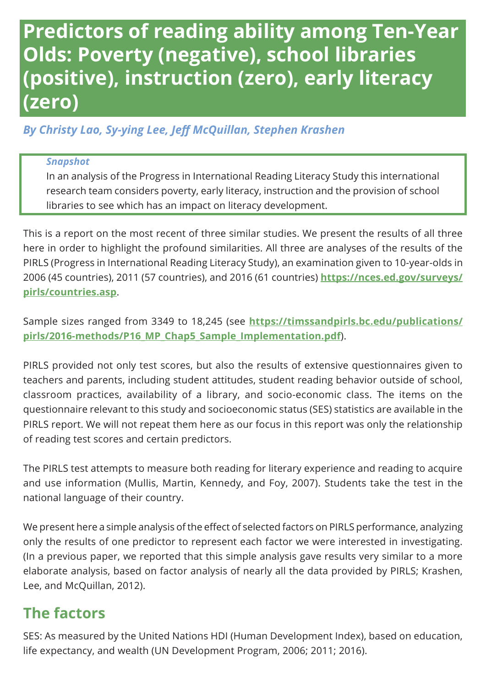# **Predictors of reading ability among Ten-Year Olds: Poverty (negative), school libraries (positive), instruction (zero), early literacy (zero)**

*By Christy Lao, Sy-ying Lee, Jeff McQuillan, Stephen Krashen*

#### *Snapshot*

In an analysis of the Progress in International Reading Literacy Study this international research team considers poverty, early literacy, instruction and the provision of school libraries to see which has an impact on literacy development.

This is a report on the most recent of three similar studies. We present the results of all three here in order to highlight the profound similarities. All three are analyses of the results of the PIRLS (Progress in International Reading Literacy Study), an examination given to 10-year-olds in 2006 (45 countries), 2011 (57 countries), and 2016 (61 countries) **[https://nces.ed.gov/surveys/](https://nces.ed.gov/surveys/pirls/countries.asp) [pirls/countries.asp](https://nces.ed.gov/surveys/pirls/countries.asp)**.

Sample sizes ranged from 3349 to 18,245 (see **[https://timssandpirls.bc.edu/publications/](https://timssandpirls.bc.edu/publications/pirls/2016-methods/P16_MP_Chap5_Sample_Implementation.pdf) [pirls/2016-methods/P16\\_MP\\_Chap5\\_Sample\\_Implementation.pdf](https://timssandpirls.bc.edu/publications/pirls/2016-methods/P16_MP_Chap5_Sample_Implementation.pdf)**).

PIRLS provided not only test scores, but also the results of extensive questionnaires given to teachers and parents, including student attitudes, student reading behavior outside of school, classroom practices, availability of a library, and socio-economic class. The items on the questionnaire relevant to this study and socioeconomic status (SES) statistics are available in the PIRLS report. We will not repeat them here as our focus in this report was only the relationship of reading test scores and certain predictors.

The PIRLS test attempts to measure both reading for literary experience and reading to acquire and use information (Mullis, Martin, Kennedy, and Foy, 2007). Students take the test in the national language of their country.

We present here a simple analysis of the effect of selected factors on PIRLS performance, analyzing only the results of one predictor to represent each factor we were interested in investigating. (In a previous paper, we reported that this simple analysis gave results very similar to a more elaborate analysis, based on factor analysis of nearly all the data provided by PIRLS; Krashen, Lee, and McQuillan, 2012).

### **The factors**

SES: As measured by the United Nations HDI (Human Development Index), based on education, life expectancy, and wealth (UN Development Program, 2006; 2011; 2016).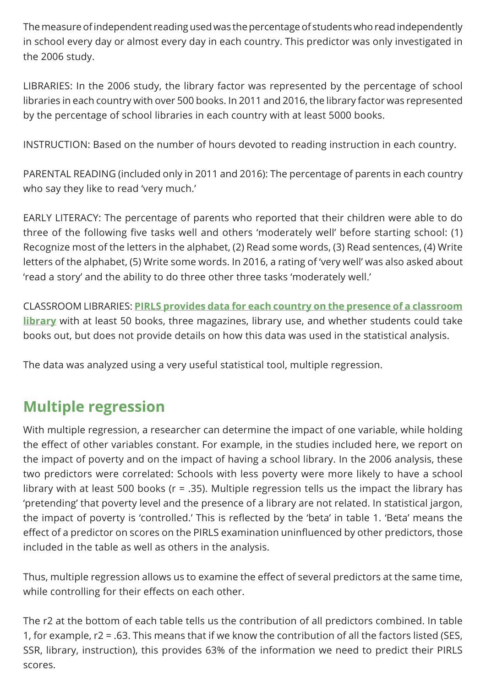The measure of independent reading used was the percentage of students who read independently in school every day or almost every day in each country. This predictor was only investigated in the 2006 study.

LIBRARIES: In the 2006 study, the library factor was represented by the percentage of school libraries in each country with over 500 books. In 2011 and 2016, the library factor was represented by the percentage of school libraries in each country with at least 5000 books.

INSTRUCTION: Based on the number of hours devoted to reading instruction in each country.

PARENTAL READING (included only in 2011 and 2016): The percentage of parents in each country who say they like to read 'very much.'

EARLY LITERACY: The percentage of parents who reported that their children were able to do three of the following five tasks well and others 'moderately well' before starting school: (1) Recognize most of the letters in the alphabet, (2) Read some words, (3) Read sentences, (4) Write letters of the alphabet, (5) Write some words. In 2016, a rating of 'very well' was also asked about 'read a story' and the ability to do three other three tasks 'moderately well.'

CLASSROOM LIBRARIES: **[PIRLS provides data for each country on the presence of a classroom](http://timssandpirls.bc.edu/pirls2016/international-results/pirls/classroom-instruction/classroom-libraries/)  [library](http://timssandpirls.bc.edu/pirls2016/international-results/pirls/classroom-instruction/classroom-libraries/)** with at least 50 books, three magazines, library use, and whether students could take books out, but does not provide details on how this data was used in the statistical analysis.

The data was analyzed using a very useful statistical tool, multiple regression.

## **Multiple regression**

With multiple regression, a researcher can determine the impact of one variable, while holding the effect of other variables constant. For example, in the studies included here, we report on the impact of poverty and on the impact of having a school library. In the 2006 analysis, these two predictors were correlated: Schools with less poverty were more likely to have a school library with at least 500 books (r = .35). Multiple regression tells us the impact the library has 'pretending' that poverty level and the presence of a library are not related. In statistical jargon, the impact of poverty is 'controlled.' This is reflected by the 'beta' in table 1. 'Beta' means the effect of a predictor on scores on the PIRLS examination uninfluenced by other predictors, those included in the table as well as others in the analysis.

Thus, multiple regression allows us to examine the effect of several predictors at the same time, while controlling for their effects on each other.

The r2 at the bottom of each table tells us the contribution of all predictors combined. In table 1, for example, r2 = .63. This means that if we know the contribution of all the factors listed (SES, SSR, library, instruction), this provides 63% of the information we need to predict their PIRLS scores.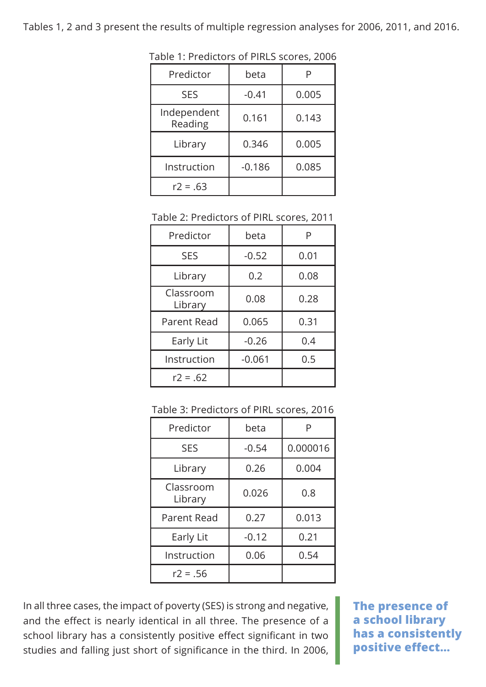Tables 1, 2 and 3 present the results of multiple regression analyses for 2006, 2011, and 2016.

| Predictor              | beta     |       |
|------------------------|----------|-------|
| <b>SES</b>             | $-0.41$  | 0.005 |
| Independent<br>Reading | 0.161    | 0.143 |
| Library                | 0.346    | 0.005 |
| Instruction            | $-0.186$ | 0.085 |
| $r2 = .63$             |          |       |

Table 1: Predictors of PIRLS scores, 2006

Table 2: Predictors of PIRL scores, 2011

| Predictor            | beta     | P    |
|----------------------|----------|------|
| <b>SES</b>           | $-0.52$  | 0.01 |
| Library              | 0.2      | 0.08 |
| Classroom<br>Library | 0.08     | 0.28 |
| Parent Read          | 0.065    | 0.31 |
| Early Lit            | $-0.26$  | 0.4  |
| Instruction          | $-0.061$ | 0.5  |
| $r2 = .62$           |          |      |

| Predictor            | beta    |          |
|----------------------|---------|----------|
| <b>SES</b>           | $-0.54$ | 0.000016 |
| Library              | 0.26    | 0.004    |
| Classroom<br>Library | 0.026   | 0.8      |
| Parent Read          | 0.27    | 0.013    |
| Early Lit            | $-0.12$ | 0.21     |
| Instruction          | 0.06    | 0.54     |
| $r2 = .56$           |         |          |

In all three cases, the impact of poverty (SES) is strong and negative, and the effect is nearly identical in all three. The presence of a school library has a consistently positive effect significant in two studies and falling just short of significance in the third. In 2006,

**The presence of a school library has a consistently positive effect…**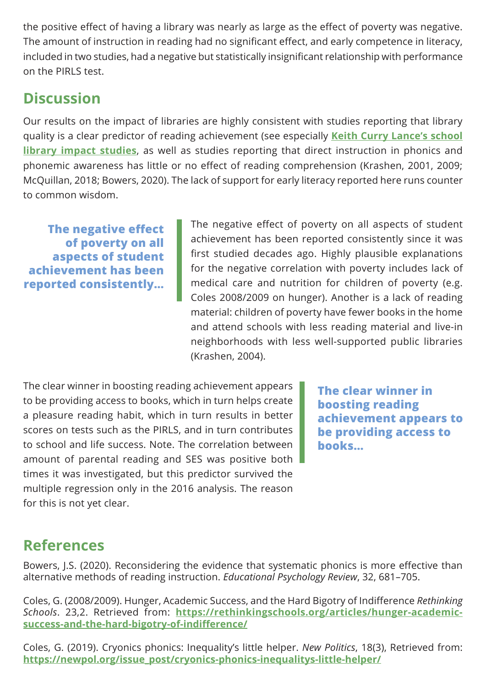the positive effect of having a library was nearly as large as the effect of poverty was negative. The amount of instruction in reading had no significant effect, and early competence in literacy, included in two studies, had a negative but statistically insignificant relationship with performance on the PIRLS test.

### **Discussion**

Our results on the impact of libraries are highly consistent with studies reporting that library quality is a clear predictor of reading achievement (see especially **[Keith Curry Lance's school](http://keithcurrylance.com/school-library-impact-studies/)  [library impact studies](http://keithcurrylance.com/school-library-impact-studies/)**, as well as studies reporting that direct instruction in phonics and phonemic awareness has little or no effect of reading comprehension (Krashen, 2001, 2009; McQuillan, 2018; Bowers, 2020). The lack of support for early literacy reported here runs counter to common wisdom.

**The negative effect of poverty on all aspects of student achievement has been reported consistently…**

The negative effect of poverty on all aspects of student achievement has been reported consistently since it was first studied decades ago. Highly plausible explanations for the negative correlation with poverty includes lack of medical care and nutrition for children of poverty (e.g. Coles 2008/2009 on hunger). Another is a lack of reading material: children of poverty have fewer books in the home and attend schools with less reading material and live-in neighborhoods with less well-supported public libraries (Krashen, 2004).

The clear winner in boosting reading achievement appears to be providing access to books, which in turn helps create a pleasure reading habit, which in turn results in better scores on tests such as the PIRLS, and in turn contributes to school and life success. Note. The correlation between amount of parental reading and SES was positive both times it was investigated, but this predictor survived the multiple regression only in the 2016 analysis. The reason for this is not yet clear.

**The clear winner in boosting reading achievement appears to be providing access to books…**

# **References**

Bowers, J.S. (2020). Reconsidering the evidence that systematic phonics is more effective than alternative methods of reading instruction. *Educational Psychology Review*, 32, 681–705.

Coles, G. (2008/2009). Hunger, Academic Success, and the Hard Bigotry of Indifference *Rethinking Schools*. 23,2. Retrieved from: **[https://rethinkingschools.org/articles/hunger-academic](https://rethinkingschools.org/articles/hunger-academic-success-and-the-hard-bigotry-of-indifference/)[success-and-the-hard-bigotry-of-indifference/](https://rethinkingschools.org/articles/hunger-academic-success-and-the-hard-bigotry-of-indifference/)**

Coles, G. (2019). Cryonics phonics: Inequality's little helper. *New Politics*, 18(3), Retrieved from: **[https://newpol.org/issue\\_post/cryonics-phonics-inequalitys-little-helper/](https://newpol.org/issue_post/cryonics-phonics-inequalitys-little-helper/)**